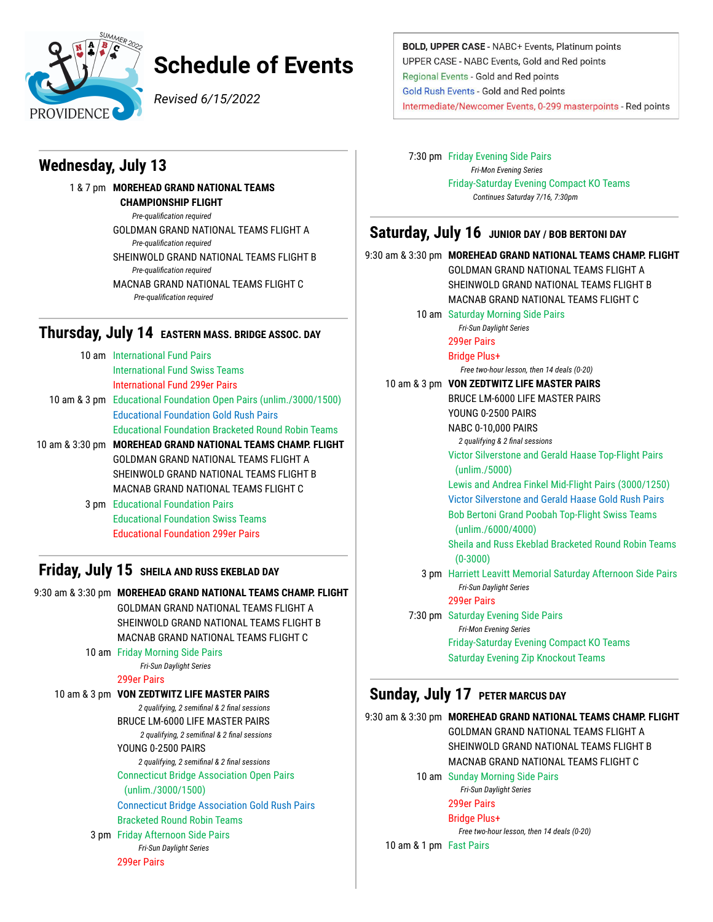

# **Schedule of Events**

*Revised 6/15/2022*

# **Wednesday, July 13**

1 & 7 pm **MOREHEAD GRAND NATIONAL TEAMS CHAMPIONSHIP FLIGHT** *Pre-qualification required* GOLDMAN GRAND NATIONAL TEAMS FLIGHT A *Pre-qualification required* SHEINWOLD GRAND NATIONAL TEAMS FLIGHT B *Pre-qualification required* MACNAB GRAND NATIONAL TEAMS FLIGHT C *Pre-qualification required*

### **Thursday, July 14 EASTERN MASS. BRIDGE ASSOC. DAY**

| 10 am International Fund Pairs                                     |
|--------------------------------------------------------------------|
| <b>International Fund Swiss Teams</b>                              |
| International Fund 299er Pairs                                     |
| 10 am & 3 pm Educational Foundation Open Pairs (unlim./3000/1500)  |
| <b>Educational Foundation Gold Rush Pairs</b>                      |
| <b>Educational Foundation Bracketed Round Robin Teams</b>          |
| 10 am & 3:30 pm <b>MOREHEAD GRAND NATIONAL TEAMS CHAMP. FLIGHT</b> |
| GOLDMAN GRAND NATIONAL TEAMS FLIGHT A                              |
| SHEINWOLD GRAND NATIONAL TEAMS FLIGHT B                            |
| MACNAB GRAND NATIONAL TEAMS FLIGHT C                               |
| <b>3 pm</b> Educational Foundation Pairs                           |
| <b>Educational Foundation Swiss Teams</b>                          |
| <b>Educational Foundation 299er Pairs</b>                          |

# **Friday, July 15 SHEILA AND RUSS EKEBLAD DAY**

| 9:30 am & 3:30 pm MOREHEAD GRAND NATIONAL TEAMS CHAMP. FLIGHT |
|---------------------------------------------------------------|
| GOLDMAN GRAND NATIONAL TEAMS FLIGHT A                         |
| SHEINWOLD GRAND NATIONAL TEAMS FLIGHT B                       |
| MACNAB GRAND NATIONAL TEAMS FLIGHT C                          |
| 10 am Friday Morning Side Pairs                               |
| Fri-Sun Daylight Series                                       |
| <b>299er Pairs</b>                                            |
| 10 am & 3 pm VON ZEDTWITZ LIFE MASTER PAIRS                   |
| 2 qualifying, 2 semifinal & 2 final sessions                  |
| <b>BRUCE LM-6000 LIFE MASTER PAIRS</b>                        |
| 2 qualifying, 2 semifinal & 2 final sessions                  |
| YOUNG 0-2500 PAIRS                                            |
| 2 qualifying, 2 semifinal & 2 final sessions                  |
| <b>Connecticut Bridge Association Open Pairs</b>              |
| (unlim./3000/1500)                                            |
| <b>Connecticut Bridge Association Gold Rush Pairs</b>         |
| <b>Bracketed Round Robin Teams</b>                            |
| 3 pm Friday Afternoon Side Pairs                              |
| <b>Fri-Sun Daylight Series</b>                                |
| <b>299er Pairs</b>                                            |
|                                                               |

BOLD, UPPER CASE - NABC+ Events, Platinum points UPPER CASE - NABC Events, Gold and Red points Regional Events - Gold and Red points **Gold Rush Events - Gold and Red points** Intermediate/Newcomer Events, 0-299 masterpoints - Red points

7:30 pm Friday Evening Side Pairs *Fri-Mon Evening Series* Friday-Saturday Evening Compact KO Teams *Continues Saturday 7/16, 7:30pm*

### **Saturday, July 16** JUNIOR DAY / BOB BERTONI DAY

9:30 am & 3:30 pm **MOREHEAD GRAND NATIONAL TEAMS CHAMP. FLIGHT** GOLDMAN GRAND NATIONAL TEAMS FLIGHT A SHEINWOLD GRAND NATIONAL TEAMS FLIGHT B MACNAB GRAND NATIONAL TEAMS FLIGHT C 10 am Saturday Morning Side Pairs *Fri-Sun Daylight Series* 299er Pairs Bridge Plus+ *Free two-hour lesson, then 14 deals (0-20)* 10 am & 3 pm **VON ZEDTWITZ LIFE MASTER PAIRS** BRUCE LM-6000 LIFE MASTER PAIRS YOUNG 0-2500 PAIRS NABC 0-10,000 PAIRS *2 qualifying & 2 final sessions* Victor Silverstone and Gerald Haase Top-Flight Pairs (unlim./5000) Lewis and Andrea Finkel Mid-Flight Pairs (3000/1250) Victor Silverstone and Gerald Haase Gold Rush Pairs Bob Bertoni Grand Poobah Top-Flight Swiss Teams (unlim./6000/4000) Sheila and Russ Ekeblad Bracketed Round Robin Teams (0-3000) 3 pm Harriett Leavitt Memorial Saturday Afternoon Side Pairs *Fri-Sun Daylight Series* 299er Pairs 7:30 pm Saturday Evening Side Pairs *Fri-Mon Evening Series* Friday-Saturday Evening Compact KO Teams Saturday Evening Zip Knockout Teams **Sunday, July 17 PETER MARCUS DAY**

9:30 am & 3:30 pm **MOREHEAD GRAND NATIONAL TEAMS CHAMP. FLIGHT**

*Free two-hour lesson, then 14 deals (0-20)*

10 am Sunday Morning Side Pairs *Fri-Sun Daylight Series*

> 299er Pairs Bridge Plus+

10 am & 1 pm Fast Pairs

GOLDMAN GRAND NATIONAL TEAMS FLIGHT A SHEINWOLD GRAND NATIONAL TEAMS FLIGHT B MACNAB GRAND NATIONAL TEAMS FLIGHT C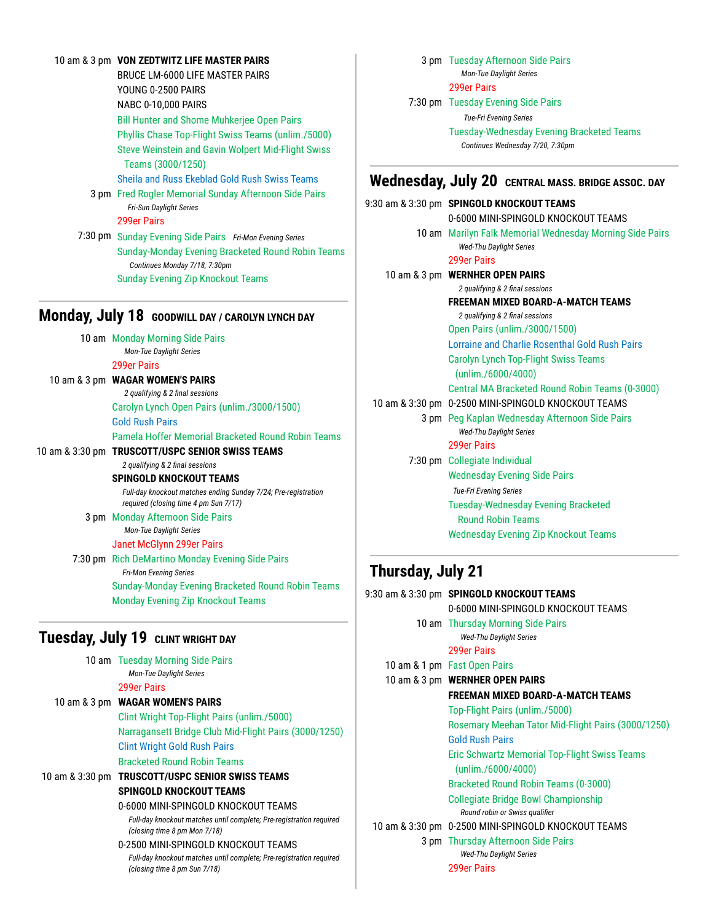#### 10 am & 3 pm **VON ZEDTWITZ LIFE MASTER PAIRS**

BRUCE LM-6000 LIFE MASTER PAIRS YOUNG 0-2500 PAIRS NABC 0-10,000 PAIRS Bill Hunter and Shome Muhkerjee Open Pairs Phyllis Chase Top-Flight Swiss Teams (unlim./5000) Steve Weinstein and Gavin Wolpert Mid-Flight Swiss Teams (3000/1250) Sheila and Russ Ekeblad Gold Rush Swiss Teams 3 pm Fred Rogler Memorial Sunday Afternoon Side Pairs *Fri-Sun Daylight Series* 299er Pairs

7:30 pm Sunday Evening Side Pairs *Fri-Mon Evening Series* Sunday-Monday Evening Bracketed Round Robin Teams *Continues Monday 7/18, 7:30pm* Sunday Evening Zip Knockout Teams

#### **Monday, July 18 GOODWILL DAY / CAROLYN LYNCH DAY**

10 am Monday Morning Side Pairs *Mon-Tue Daylight Series* 299er Pairs 10 am & 3 pm **WAGAR WOMEN'S PAIRS** *2 qualifying & 2 final sessions*

Carolyn Lynch Open Pairs (unlim./3000/1500) Gold Rush Pairs Pamela Hoffer Memorial Bracketed Round Robin Teams

10 am & 3:30 pm **TRUSCOTT/USPC SENIOR SWISS TEAMS** *2 qualifying & 2 final sessions* **SPINGOLD KNOCKOUT TEAMS**

*Full-day knockout matches ending Sunday 7/24; Pre-registration required (closing time 4 pm Sun 7/17)*

3 pm Monday Afternoon Side Pairs *Mon-Tue Daylight Series* Janet McGlynn 299er Pairs

7:30 pm Rich DeMartino Monday Evening Side Pairs *Fri-Mon Evening Series* Sunday-Monday Evening Bracketed Round Robin Teams Monday Evening Zip Knockout Teams

# **Tuesday, July 19 CLINT WRIGHT DAY**

|  | 10 am Tuesday Morning Side Pairs                                                                    |
|--|-----------------------------------------------------------------------------------------------------|
|  | <b>Mon-Tue Daylight Series</b>                                                                      |
|  | 299er Pairs                                                                                         |
|  | 10 am & 3 pm WAGAR WOMEN'S PAIRS                                                                    |
|  | Clint Wright Top-Flight Pairs (unlim./5000)                                                         |
|  | Narragansett Bridge Club Mid-Flight Pairs (3000/1250)                                               |
|  | <b>Clint Wright Gold Rush Pairs</b>                                                                 |
|  | <b>Bracketed Round Robin Teams</b>                                                                  |
|  | 10 am & 3:30 pm <b>TRUSCOTT/USPC SENIOR SWISS TEAMS</b>                                             |
|  | SPINGOLD KNOCKOUT TEAMS                                                                             |
|  | 0-6000 MINI-SPINGOLD KNOCKOUT TEAMS                                                                 |
|  | Full-day knockout matches until complete; Pre-registration required<br>(closing time 8 pm Mon 7/18) |
|  | 0-2500 MINI-SPINGOLD KNOCKOUT TEAMS                                                                 |
|  | Full-day knockout matches until complete: Pre-registration required                                 |

*Full-day knockout matches until complete; Pre-registration required (closing time 8 pm Sun 7/18)*

3 pm Tuesday Afternoon Side Pairs *Mon-Tue Daylight Series*

299er Pairs

7:30 pm Tuesday Evening Side Pairs

*Tue-Fri Evening Series*

Tuesday-Wednesday Evening Bracketed Teams *Continues Wednesday 7/20, 7:30pm*

# **Wednesday, July 20 CENTRAL MASS. BRIDGE ASSOC. DAY**

9:30 am & 3:30 pm **SPINGOLD KNOCKOUT TEAMS** 0-6000 MINI-SPINGOLD KNOCKOUT TEAMS 10 am Marilyn Falk Memorial Wednesday Morning Side Pairs *Wed-Thu Daylight Series* 299er Pairs 10 am & 3 pm **WERNHER OPEN PAIRS** *2 qualifying & 2 final sessions* **FREEMAN MIXED BOARD-A-MATCH TEAMS** *2 qualifying & 2 final sessions* Open Pairs (unlim./3000/1500) Lorraine and Charlie Rosenthal Gold Rush Pairs Carolyn Lynch Top-Flight Swiss Teams (unlim./6000/4000) Central MA Bracketed Round Robin Teams (0-3000) 10 am & 3:30 pm 0-2500 MINI-SPINGOLD KNOCKOUT TEAMS 3 pm Peg Kaplan Wednesday Afternoon Side Pairs *Wed-Thu Daylight Series* 299er Pairs 7:30 pm Collegiate Individual Wednesday Evening Side Pairs *Tue-Fri Evening Series* Tuesday-Wednesday Evening Bracketed Round Robin Teams Wednesday Evening Zip Knockout Teams

# **Thursday, July 21**

|  | 9:30 am & 3:30 pm SPINGOLD KNOCKOUT TEAMS           |
|--|-----------------------------------------------------|
|  | 0-6000 MINI-SPINGOLD KNOCKOUT TEAMS                 |
|  | 10 am Thursday Morning Side Pairs                   |
|  | <b>Wed-Thu Daylight Series</b>                      |
|  | 299er Pairs                                         |
|  | 10 am & 1 pm Fast Open Pairs                        |
|  | 10 am & 3 pm WERNHER OPEN PAIRS                     |
|  | <b>FREEMAN MIXED BOARD-A-MATCH TEAMS</b>            |
|  | Top-Flight Pairs (unlim./5000)                      |
|  | Rosemary Meehan Tator Mid-Flight Pairs (3000/1250)  |
|  | <b>Gold Rush Pairs</b>                              |
|  | Eric Schwartz Memorial Top-Flight Swiss Teams       |
|  | (unlim./6000/4000)                                  |
|  | Bracketed Round Robin Teams (0-3000)                |
|  | Collegiate Bridge Bowl Championship                 |
|  | Round robin or Swiss qualifier                      |
|  | 10 am & 3:30 pm 0-2500 MINI-SPINGOLD KNOCKOUT TEAMS |
|  | <b>3 pm</b> Thursday Afternoon Side Pairs           |
|  | <b>Wed-Thu Daylight Series</b>                      |
|  | 299er Pairs                                         |
|  |                                                     |